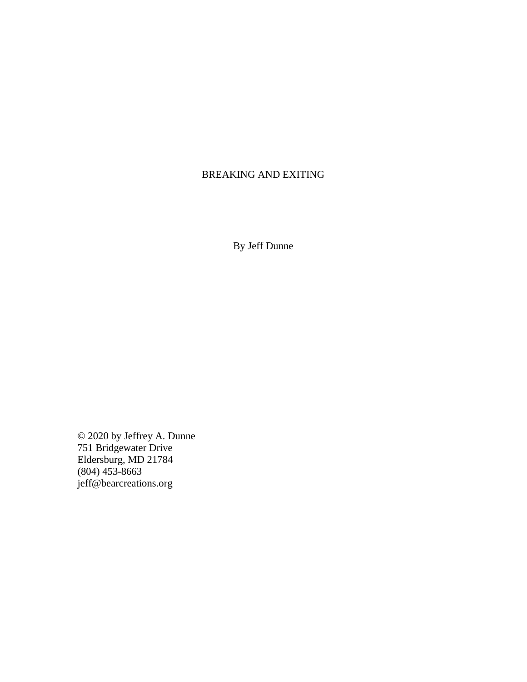# BREAKING AND EXITING

By Jeff Dunne

© 2020 by Jeffrey A. Dunne 751 Bridgewater Drive Eldersburg, MD 21784 (804) 453-8663 jeff@bearcreations.org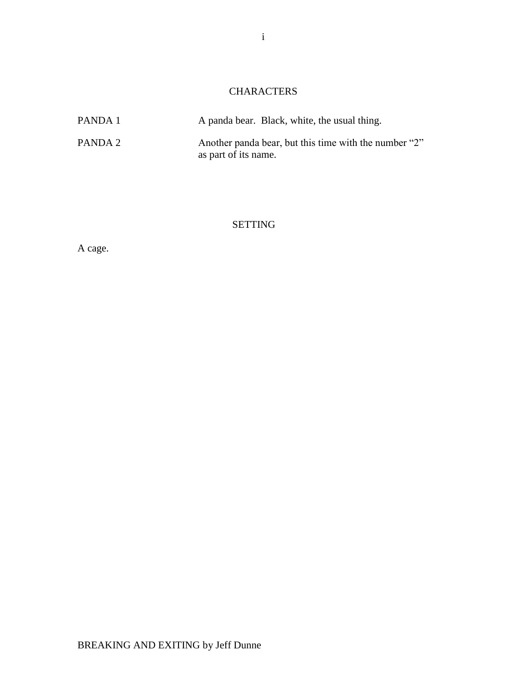# **CHARACTERS**

| PANDA 1 | A panda bear. Black, white, the usual thing.                                  |
|---------|-------------------------------------------------------------------------------|
| PANDA 2 | Another panda bear, but this time with the number "2"<br>as part of its name. |

SETTING

A cage.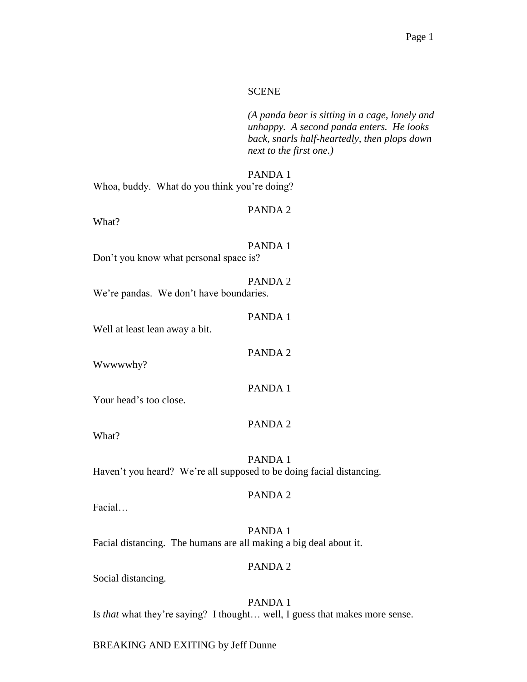#### SCENE

*(A panda bear is sitting in a cage, lonely and unhappy. A second panda enters. He looks back, snarls half-heartedly, then plops down next to the first one.)*

PANDA 1

Whoa, buddy. What do you think you're doing?

#### PANDA 2

What?

PANDA 1 Don't you know what personal space is?

PANDA 2 We're pandas. We don't have boundaries.

PANDA 1

Well at least lean away a bit.

Wwwwwhy?

Your head's too close.

#### PANDA 2

PANDA 1

PANDA 2

What?

PANDA 1 Haven't you heard? We're all supposed to be doing facial distancing.

#### PANDA 2

Facial…

PANDA 1 Facial distancing. The humans are all making a big deal about it.

#### PANDA 2

Social distancing.

PANDA 1 Is *that* what they're saying? I thought… well, I guess that makes more sense.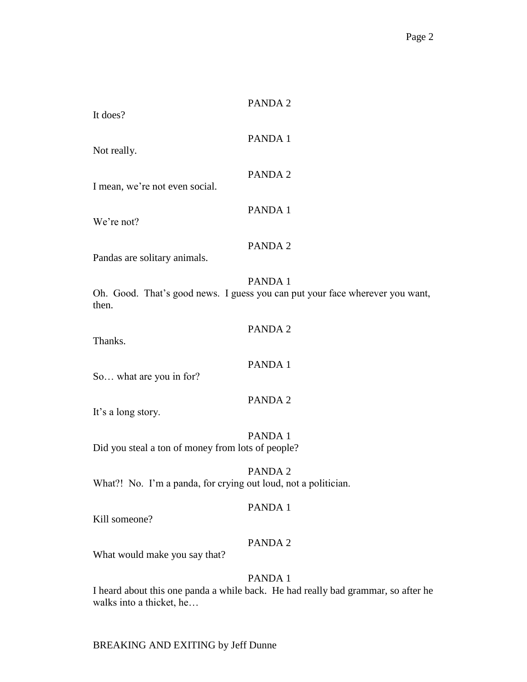| It does?                                                       | PANDA 2                                                                                 |
|----------------------------------------------------------------|-----------------------------------------------------------------------------------------|
| Not really.                                                    | PANDA 1                                                                                 |
| I mean, we're not even social.                                 | PANDA 2                                                                                 |
| We're not?                                                     | PANDA 1                                                                                 |
| Pandas are solitary animals.                                   | PANDA 2                                                                                 |
| then.                                                          | PANDA 1<br>Oh. Good. That's good news. I guess you can put your face wherever you want, |
| Thanks.                                                        | PANDA 2                                                                                 |
| So what are you in for?                                        | PANDA 1                                                                                 |
| It's a long story.                                             | PANDA 2                                                                                 |
| Did you steal a ton of money from lots of people?              | PANDA 1                                                                                 |
| What?! No. I'm a panda, for crying out loud, not a politician. | PANDA 2                                                                                 |
| Kill someone?                                                  | PANDA 1                                                                                 |
| What would make you say that?                                  | PANDA 2                                                                                 |
|                                                                | PANDA 1                                                                                 |

I heard about this one panda a while back. He had really bad grammar, so after he walks into a thicket, he…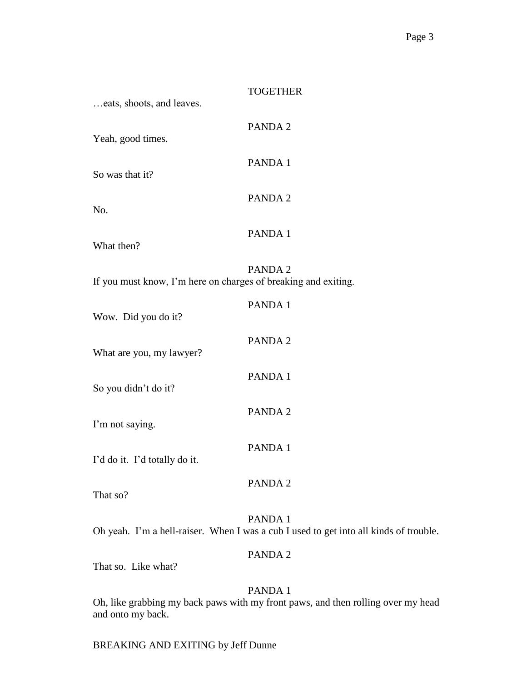| eats, shoots, and leaves.                                      | <b>TOGETHER</b>                                                                                  |
|----------------------------------------------------------------|--------------------------------------------------------------------------------------------------|
| Yeah, good times.                                              | PANDA 2                                                                                          |
| So was that it?                                                | PANDA 1                                                                                          |
| No.                                                            | PANDA 2                                                                                          |
| What then?                                                     | PANDA 1                                                                                          |
| If you must know, I'm here on charges of breaking and exiting. | PANDA 2                                                                                          |
| Wow. Did you do it?                                            | PANDA 1                                                                                          |
| What are you, my lawyer?                                       | PANDA 2                                                                                          |
| So you didn't do it?                                           | PANDA 1                                                                                          |
| I'm not saying.                                                | PANDA 2                                                                                          |
| I'd do it. I'd totally do it.                                  | PANDA 1                                                                                          |
| That so?                                                       | PANDA 2                                                                                          |
|                                                                | PANDA 1<br>Oh yeah. I'm a hell-raiser. When I was a cub I used to get into all kinds of trouble. |
|                                                                | PANDA 2                                                                                          |

That so. Like what?

# PANDA 1

Oh, like grabbing my back paws with my front paws, and then rolling over my head and onto my back.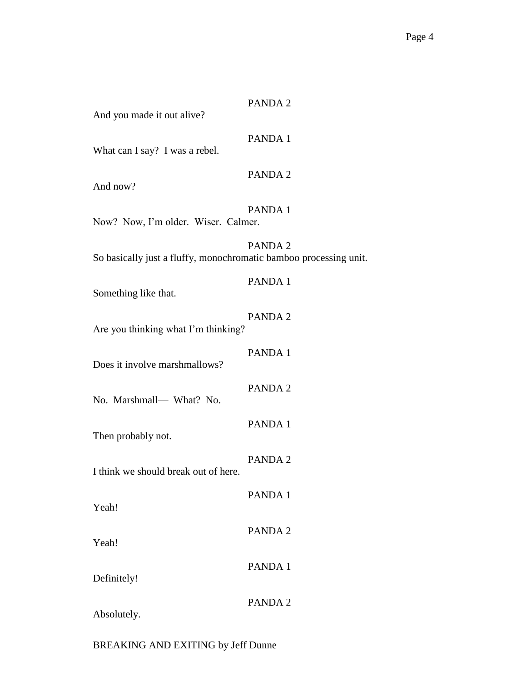And you made it out alive?

# PANDA 1

What can I say? I was a rebel.

## PANDA 2

And now?

# PANDA 1

Now? Now, I'm older. Wiser. Calmer.

PANDA 2 So basically just a fluffy, monochromatic bamboo processing unit.

#### PANDA 1

Something like that.

| Are you thinking what I'm thinking?  | PANDA 2 |
|--------------------------------------|---------|
| Does it involve marshmallows?        | PANDA 1 |
| No. Marshmall- What? No.             | PANDA 2 |
| Then probably not.                   | PANDA 1 |
| I think we should break out of here. | PANDA 2 |
| Yeah!                                | PANDA 1 |
|                                      | PANDA 2 |
| Yeah!                                | PANDA 1 |
| Definitely!                          | PANDA 2 |

Absolutely.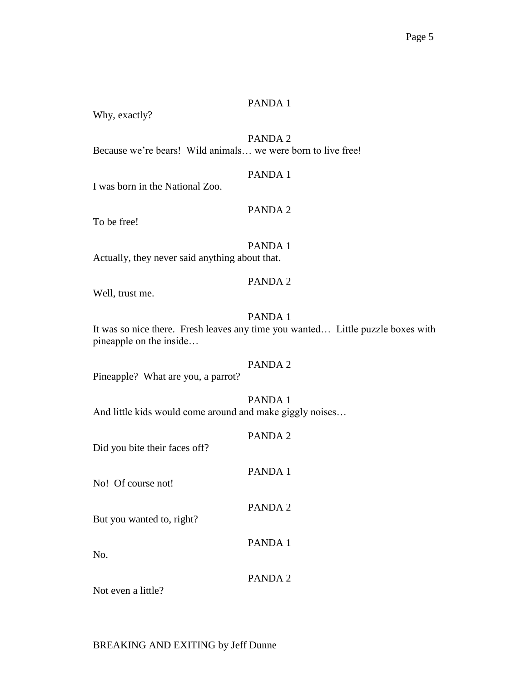Why, exactly?

# PANDA 2

Because we're bears! Wild animals… we were born to live free!

#### PANDA 1

I was born in the National Zoo.

## PANDA 2

To be free!

# PANDA 1

Actually, they never said anything about that.

# PANDA 2

Well, trust me.

#### PANDA 1

It was so nice there. Fresh leaves any time you wanted… Little puzzle boxes with pineapple on the inside…

# PANDA 2

Pineapple? What are you, a parrot?

#### PANDA 1

And little kids would come around and make giggly noises…

## PANDA 2

Did you bite their faces off?

#### PANDA 1

PANDA 2

PANDA 1

No! Of course not!

But you wanted to, right?

No.

#### PANDA 2

Not even a little?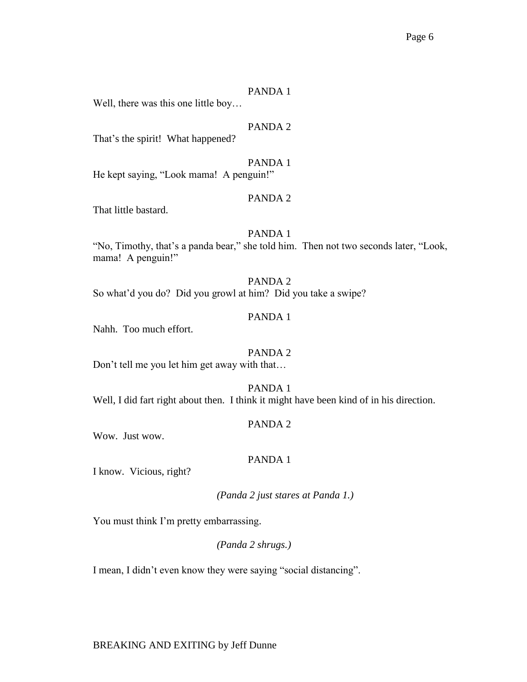Well, there was this one little boy…

# PANDA 2

That's the spirit! What happened?

#### PANDA 1

He kept saying, "Look mama! A penguin!"

#### PANDA 2

That little bastard.

#### PANDA 1

"No, Timothy, that's a panda bear," she told him. Then not two seconds later, "Look, mama! A penguin!"

# PANDA 2 So what'd you do? Did you growl at him? Did you take a swipe?

#### PANDA 1

Nahh. Too much effort.

#### PANDA 2

Don't tell me you let him get away with that…

# PANDA 1 Well, I did fart right about then. I think it might have been kind of in his direction.

#### PANDA 2

Wow. Just wow.

#### PANDA 1

I know. Vicious, right?

*(Panda 2 just stares at Panda 1.)*

You must think I'm pretty embarrassing.

*(Panda 2 shrugs.)*

I mean, I didn't even know they were saying "social distancing".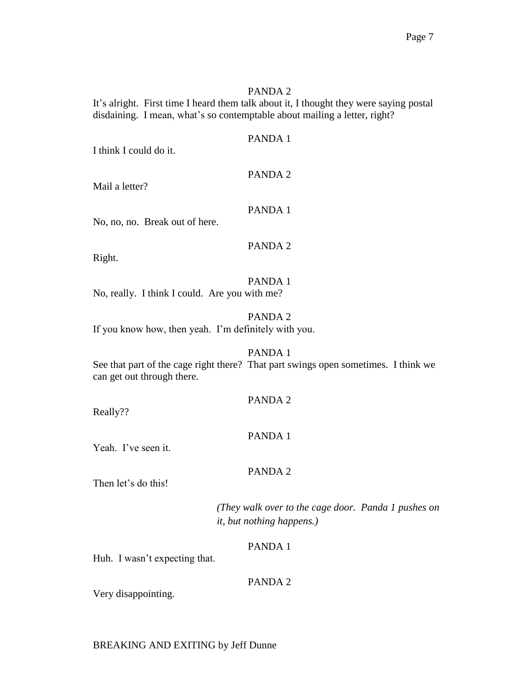It's alright. First time I heard them talk about it, I thought they were saying postal disdaining. I mean, what's so contemptable about mailing a letter, right?

#### PANDA 1

I think I could do it.

#### PANDA 2

Mail a letter?

# PANDA 1

No, no, no. Break out of here.

## PANDA 2

Right.

# PANDA 1

No, really. I think I could. Are you with me?

## PANDA 2

If you know how, then yeah. I'm definitely with you.

#### PANDA 1

See that part of the cage right there? That part swings open sometimes. I think we can get out through there.

#### PANDA 2

Really??

# PANDA 1

Yeah. I've seen it.

# PANDA 2

Then let's do this!

*(They walk over to the cage door. Panda 1 pushes on it, but nothing happens.)*

# PANDA 1

Huh. I wasn't expecting that.

# PANDA 2

Very disappointing.